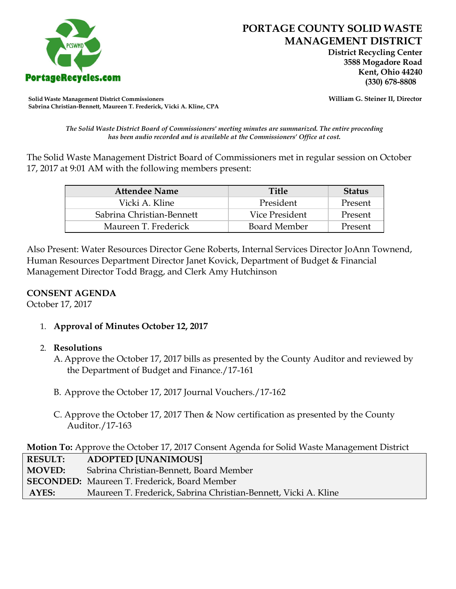

 **District Recycling Center 3588 Mogadore Road Kent, Ohio 44240**

**Solid Waste Management District Commissioners William G. Steiner II, Director Sabrina Christian-Bennett, Maureen T. Frederick, Vicki A. Kline, CPA**

*The Solid Waste District Board of Commissioners' meeting minutes are summarized. The entire proceeding has been audio recorded and is available at the Commissioners' Office at cost.*

The Solid Waste Management District Board of Commissioners met in regular session on October 17, 2017 at 9:01 AM with the following members present:

| <b>Attendee Name</b>      | <b>Title</b>   | <b>Status</b> |
|---------------------------|----------------|---------------|
| Vicki A. Kline            | President      | Present       |
| Sabrina Christian-Bennett | Vice President | Present       |
| Maureen T. Frederick      | Board Member   | Present       |

Also Present: Water Resources Director Gene Roberts, Internal Services Director JoAnn Townend, Human Resources Department Director Janet Kovick, Department of Budget & Financial Management Director Todd Bragg, and Clerk Amy Hutchinson

## **CONSENT AGENDA**

October 17, 2017

1. **Approval of Minutes October 12, 2017**

## 2. **Resolutions**

- A. Approve the October 17, 2017 bills as presented by the County Auditor and reviewed by the Department of Budget and Finance./17-161
- B. Approve the October 17, 2017 Journal Vouchers./17-162
- C. Approve the October 17, 2017 Then & Now certification as presented by the County Auditor./17-163

**Motion To:** Approve the October 17, 2017 Consent Agenda for Solid Waste Management District

| <b>RESULT:</b> | <b>ADOPTED [UNANIMOUS]</b>                                      |
|----------------|-----------------------------------------------------------------|
| <b>MOVED:</b>  | Sabrina Christian-Bennett, Board Member                         |
|                | <b>SECONDED:</b> Maureen T. Frederick, Board Member             |
| AYES:          | Maureen T. Frederick, Sabrina Christian-Bennett, Vicki A. Kline |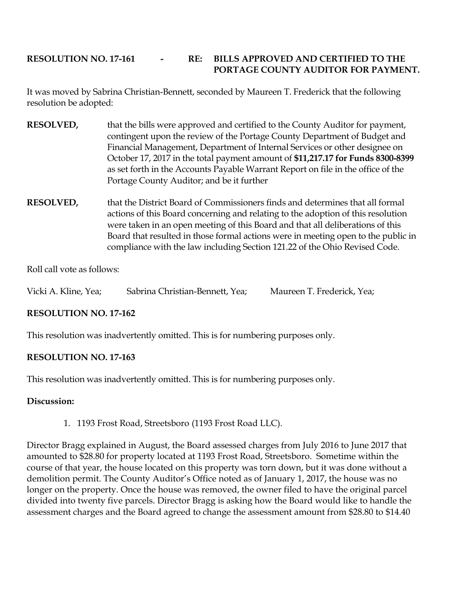# **RESOLUTION NO. 17-161 - RE: BILLS APPROVED AND CERTIFIED TO THE PORTAGE COUNTY AUDITOR FOR PAYMENT.**

It was moved by Sabrina Christian-Bennett, seconded by Maureen T. Frederick that the following resolution be adopted:

- **RESOLVED,** that the bills were approved and certified to the County Auditor for payment, contingent upon the review of the Portage County Department of Budget and Financial Management, Department of Internal Services or other designee on October 17, 2017 in the total payment amount of **\$11,217.17 for Funds 8300-8399**  as set forth in the Accounts Payable Warrant Report on file in the office of the Portage County Auditor; and be it further
- **RESOLVED,** that the District Board of Commissioners finds and determines that all formal actions of this Board concerning and relating to the adoption of this resolution were taken in an open meeting of this Board and that all deliberations of this Board that resulted in those formal actions were in meeting open to the public in compliance with the law including Section 121.22 of the Ohio Revised Code.

Roll call vote as follows:

Vicki A. Kline, Yea; Sabrina Christian-Bennett, Yea; Maureen T. Frederick, Yea;

## **RESOLUTION NO. 17-162**

This resolution was inadvertently omitted. This is for numbering purposes only.

## **RESOLUTION NO. 17-163**

This resolution was inadvertently omitted. This is for numbering purposes only.

## **Discussion:**

1. 1193 Frost Road, Streetsboro (1193 Frost Road LLC).

Director Bragg explained in August, the Board assessed charges from July 2016 to June 2017 that amounted to \$28.80 for property located at 1193 Frost Road, Streetsboro. Sometime within the course of that year, the house located on this property was torn down, but it was done without a demolition permit. The County Auditor's Office noted as of January 1, 2017, the house was no longer on the property. Once the house was removed, the owner filed to have the original parcel divided into twenty five parcels. Director Bragg is asking how the Board would like to handle the assessment charges and the Board agreed to change the assessment amount from \$28.80 to \$14.40